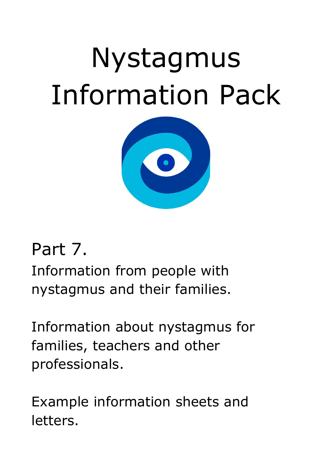# Nystagmus Information Pack



## Part 7.

Information from people with nystagmus and their families.

Information about nystagmus for families, teachers and other professionals.

Example information sheets and letters.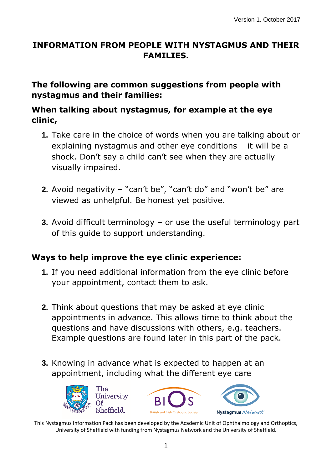#### **INFORMATION FROM PEOPLE WITH NYSTAGMUS AND THEIR FAMILIES.**

#### **The following are common suggestions from people with nystagmus and their families:**

#### **When talking about nystagmus, for example at the eye clinic,**

- **1.** Take care in the choice of words when you are talking about or explaining nystagmus and other eye conditions – it will be a shock. Don't say a child can't see when they are actually visually impaired.
- **2.** Avoid negativity "can't be", "can't do" and "won't be" are viewed as unhelpful. Be honest yet positive.
- **3.** Avoid difficult terminology or use the useful terminology part of this guide to support understanding.

#### **Ways to help improve the eye clinic experience:**

- **1.** If you need additional information from the eye clinic before your appointment, contact them to ask.
- **2.** Think about questions that may be asked at eye clinic appointments in advance. This allows time to think about the questions and have discussions with others, e.g. teachers. Example questions are found later in this part of the pack.
- **3.** Knowing in advance what is expected to happen at an appointment, including what the different eye care





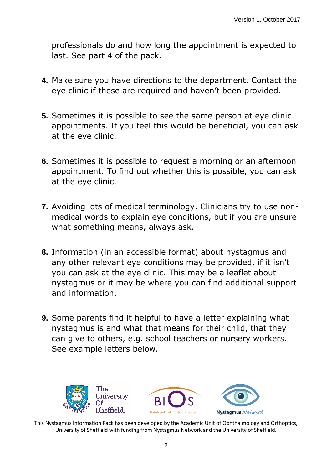professionals do and how long the appointment is expected to last. See part 4 of the pack.

- **4.** Make sure you have directions to the department. Contact the eye clinic if these are required and haven't been provided.
- **5.** Sometimes it is possible to see the same person at eye clinic appointments. If you feel this would be beneficial, you can ask at the eye clinic.
- **6.** Sometimes it is possible to request a morning or an afternoon appointment. To find out whether this is possible, you can ask at the eye clinic.
- **7.** Avoiding lots of medical terminology. Clinicians try to use nonmedical words to explain eye conditions, but if you are unsure what something means, always ask.
- **8.** Information (in an accessible format) about nystagmus and any other relevant eye conditions may be provided, if it isn't you can ask at the eye clinic. This may be a leaflet about nystagmus or it may be where you can find additional support and information.
- **9.** Some parents find it helpful to have a letter explaining what nystagmus is and what that means for their child, that they can give to others, e.g. school teachers or nursery workers. See example letters below.

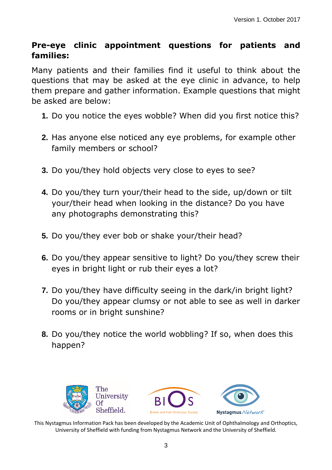#### **Pre-eye clinic appointment questions for patients and families:**

Many patients and their families find it useful to think about the questions that may be asked at the eye clinic in advance, to help them prepare and gather information. Example questions that might be asked are below:

- **1.** Do you notice the eyes wobble? When did you first notice this?
- **2.** Has anyone else noticed any eye problems, for example other family members or school?
- **3.** Do you/they hold objects very close to eyes to see?
- **4.** Do you/they turn your/their head to the side, up/down or tilt your/their head when looking in the distance? Do you have any photographs demonstrating this?
- **5.** Do you/they ever bob or shake your/their head?
- **6.** Do you/they appear sensitive to light? Do you/they screw their eyes in bright light or rub their eyes a lot?
- **7.** Do you/they have difficulty seeing in the dark/in bright light? Do you/they appear clumsy or not able to see as well in darker rooms or in bright sunshine?
- **8.** Do you/they notice the world wobbling? If so, when does this happen?

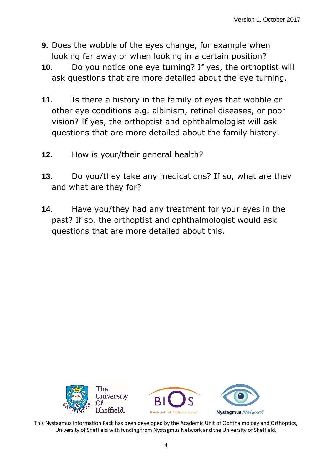- **9.** Does the wobble of the eyes change, for example when looking far away or when looking in a certain position?
- **10.** Do you notice one eye turning? If yes, the orthoptist will ask questions that are more detailed about the eye turning.
- **11.** Is there a history in the family of eyes that wobble or other eye conditions e.g. albinism, retinal diseases, or poor vision? If yes, the orthoptist and ophthalmologist will ask questions that are more detailed about the family history.
- **12.** How is your/their general health?
- **13.** Do you/they take any medications? If so, what are they and what are they for?
- **14.** Have you/they had any treatment for your eyes in the past? If so, the orthoptist and ophthalmologist would ask questions that are more detailed about this.

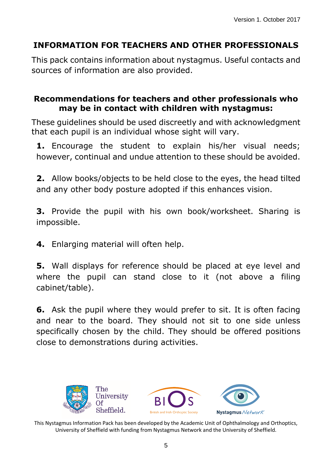### **INFORMATION FOR TEACHERS AND OTHER PROFESSIONALS**

This pack contains information about nystagmus. Useful contacts and sources of information are also provided.

#### **Recommendations for teachers and other professionals who may be in contact with children with nystagmus:**

These guidelines should be used discreetly and with acknowledgment that each pupil is an individual whose sight will vary.

**1.** Encourage the student to explain his/her visual needs; however, continual and undue attention to these should be avoided.

**2.** Allow books/objects to be held close to the eyes, the head tilted and any other body posture adopted if this enhances vision.

**3.** Provide the pupil with his own book/worksheet. Sharing is impossible.

**4.** Enlarging material will often help.

**5.** Wall displays for reference should be placed at eye level and where the pupil can stand close to it (not above a filing cabinet/table).

**6.** Ask the pupil where they would prefer to sit. It is often facing and near to the board. They should not sit to one side unless specifically chosen by the child. They should be offered positions close to demonstrations during activities.

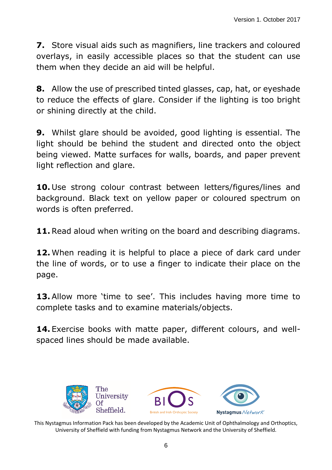**7.** Store visual aids such as magnifiers, line trackers and coloured overlays, in easily accessible places so that the student can use them when they decide an aid will be helpful.

**8.** Allow the use of prescribed tinted glasses, cap, hat, or eyeshade to reduce the effects of glare. Consider if the lighting is too bright or shining directly at the child.

**9.** Whilst glare should be avoided, good lighting is essential. The light should be behind the student and directed onto the object being viewed. Matte surfaces for walls, boards, and paper prevent light reflection and glare.

**10.** Use strong colour contrast between letters/figures/lines and background. Black text on yellow paper or coloured spectrum on words is often preferred.

**11.** Read aloud when writing on the board and describing diagrams.

**12.** When reading it is helpful to place a piece of dark card under the line of words, or to use a finger to indicate their place on the page.

**13.** Allow more 'time to see'. This includes having more time to complete tasks and to examine materials/objects.

**14.** Exercise books with matte paper, different colours, and wellspaced lines should be made available.

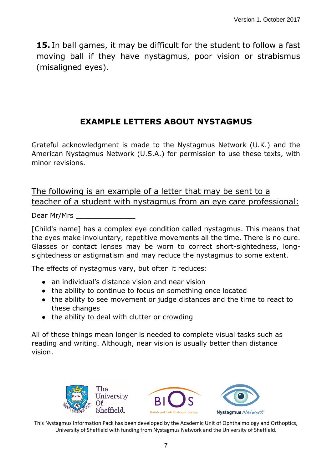**15.** In ball games, it may be difficult for the student to follow a fast moving ball if they have nystagmus, poor vision or strabismus (misaligned eyes).

#### **EXAMPLE LETTERS ABOUT NYSTAGMUS**

Grateful acknowledgment is made to the Nystagmus Network (U.K.) and the American Nystagmus Network (U.S.A.) for permission to use these texts, with minor revisions.

#### The following is an example of a letter that may be sent to a teacher of a student with nystagmus from an eye care professional:

Dear Mr/Mrs

[Child's name] has a complex eye condition called nystagmus. This means that the eyes make involuntary, repetitive movements all the time. There is no cure. Glasses or contact lenses may be worn to correct short-sightedness, longsightedness or astigmatism and may reduce the nystagmus to some extent.

The effects of nystagmus vary, but often it reduces:

- an individual's distance vision and near vision
- the ability to continue to focus on something once located
- the ability to see movement or judge distances and the time to react to these changes
- the ability to deal with clutter or crowding

All of these things mean longer is needed to complete visual tasks such as reading and writing. Although, near vision is usually better than distance vision.

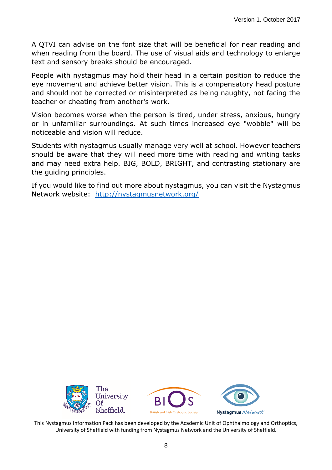A QTVI can advise on the font size that will be beneficial for near reading and when reading from the board. The use of visual aids and technology to enlarge text and sensory breaks should be encouraged.

People with nystagmus may hold their head in a certain position to reduce the eye movement and achieve better vision. This is a compensatory head posture and should not be corrected or misinterpreted as being naughty, not facing the teacher or cheating from another's work.

Vision becomes worse when the person is tired, under stress, anxious, hungry or in unfamiliar surroundings. At such times increased eye "wobble" will be noticeable and vision will reduce.

Students with nystagmus usually manage very well at school. However teachers should be aware that they will need more time with reading and writing tasks and may need extra help. BIG, BOLD, BRIGHT, and contrasting stationary are the guiding principles.

If you would like to find out more about nystagmus, you can visit the Nystagmus Network website: <http://nystagmusnetwork.org/>